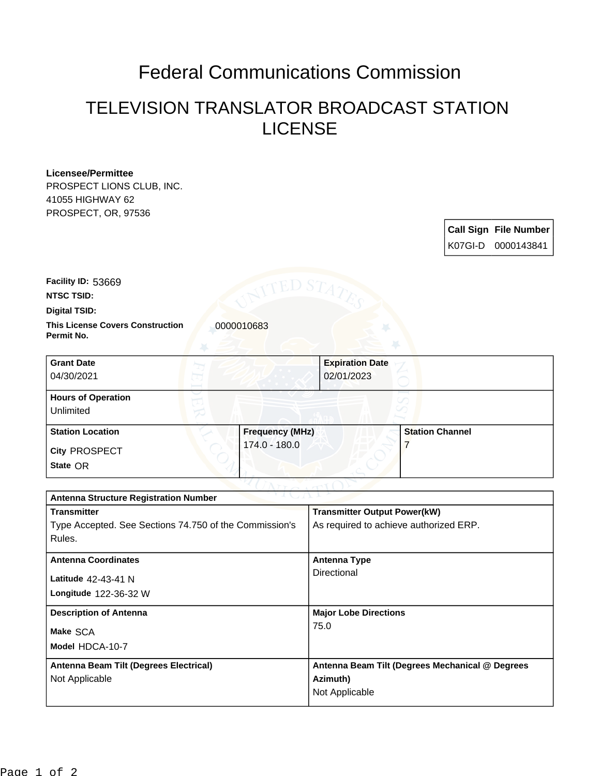## Federal Communications Commission

## TELEVISION TRANSLATOR BROADCAST STATION LICENSE

## **Licensee/Permittee**

PROSPECT LIONS CLUB, INC. 41055 HIGHWAY 62 PROSPECT, OR, 97536

| <b>Call Sign File Number</b> |
|------------------------------|
| K07GI-D 0000143841           |

**Facility ID:** 53669

**NTSC TSID:**

**Digital TSID:**

**This License Covers Construction**  0000010683 **Permit No.**

**State** OR **City** PROSPECT **Grant Date** 04/30/2021 **Expiration Date** 02/01/2023 **Hours of Operation** Unlimited **Station Location Frequency (MHz)** 174.0 - 180.0 **Station Channel** 7

| <b>Antenna Structure Registration Number</b>           |                                                 |  |  |
|--------------------------------------------------------|-------------------------------------------------|--|--|
| <b>Transmitter</b>                                     | <b>Transmitter Output Power(kW)</b>             |  |  |
| Type Accepted. See Sections 74.750 of the Commission's | As required to achieve authorized ERP.          |  |  |
| Rules.                                                 |                                                 |  |  |
| <b>Antenna Coordinates</b>                             | Antenna Type                                    |  |  |
|                                                        | Directional                                     |  |  |
| Latitude 42-43-41 N                                    |                                                 |  |  |
| Longitude 122-36-32 W                                  |                                                 |  |  |
| <b>Description of Antenna</b>                          | <b>Major Lobe Directions</b>                    |  |  |
| Make SCA                                               | 75.0                                            |  |  |
|                                                        |                                                 |  |  |
| Model HDCA-10-7                                        |                                                 |  |  |
| Antenna Beam Tilt (Degrees Electrical)                 | Antenna Beam Tilt (Degrees Mechanical @ Degrees |  |  |
| Not Applicable                                         | Azimuth)                                        |  |  |
|                                                        | Not Applicable                                  |  |  |
|                                                        |                                                 |  |  |